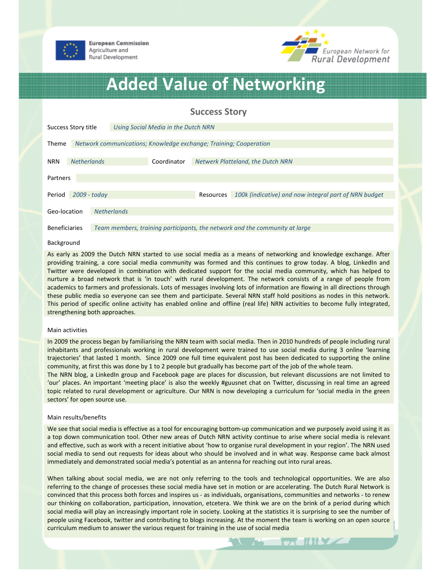



# Added Value of Networking

## Success Story

| Success Story title      |                                                                   |                                                                             | Using Social Media in the Dutch NRN |                                          |                                                       |  |
|--------------------------|-------------------------------------------------------------------|-----------------------------------------------------------------------------|-------------------------------------|------------------------------------------|-------------------------------------------------------|--|
|                          |                                                                   |                                                                             |                                     |                                          |                                                       |  |
| Theme                    | Network communications; Knowledge exchange; Training; Cooperation |                                                                             |                                     |                                          |                                                       |  |
|                          |                                                                   |                                                                             |                                     |                                          |                                                       |  |
| <b>NRN</b>               | <b>Netherlands</b>                                                |                                                                             | Coordinator                         | <b>Netwerk Platteland, the Dutch NRN</b> |                                                       |  |
|                          |                                                                   |                                                                             |                                     |                                          |                                                       |  |
| Partners                 |                                                                   |                                                                             |                                     |                                          |                                                       |  |
|                          |                                                                   |                                                                             |                                     |                                          |                                                       |  |
| $2009 - today$<br>Period |                                                                   |                                                                             |                                     | Resources                                | 100k (indicative) and now integral part of NRN budget |  |
|                          |                                                                   | <b>Netherlands</b>                                                          |                                     |                                          |                                                       |  |
| Geo-location             |                                                                   |                                                                             |                                     |                                          |                                                       |  |
| <b>Beneficiaries</b>     |                                                                   | Team members, training participants, the network and the community at large |                                     |                                          |                                                       |  |

#### Background

As early as 2009 the Dutch NRN started to use social media as a means of networking and knowledge exchange. After providing training, a core social media community was formed and this continues to grow today. A blog, LinkedIn and Twitter were developed in combination with dedicated support for the social media community, which has helped to nurture a broad network that is 'in touch' with rural development. The network consists of a range of people from academics to farmers and professionals. Lots of messages involving lots of information are flowing in all directions through these public media so everyone can see them and participate. Several NRN staff hold positions as nodes in this network. This period of specific online activity has enabled online and offline (real life) NRN activities to become fully integrated, strengthening both approaches.

#### Main activities

In 2009 the process began by familiarising the NRN team with social media. Then in 2010 hundreds of people including rural inhabitants and professionals working in rural development were trained to use social media during 3 online 'learning trajectories' that lasted 1 month. Since 2009 one full time equivalent post has been dedicated to supporting the online community, at first this was done by 1 to 2 people but gradually has become part of the job of the whole team.

The NRN blog, a LinkedIn group and Facebook page are places for discussion, but relevant discussions are not limited to 'our' places. An important 'meeting place' is also the weekly #guusnet chat on Twitter, discussing in real time an agreed topic related to rural development or agriculture. Our NRN is now developing a curriculum for 'social media in the green sectors' for open source use.

#### Main results/benefits

We see that social media is effective as a tool for encouraging bottom-up communication and we purposely avoid using it as a top down communication tool. Other new areas of Dutch NRN activity continue to arise where social media is relevant and effective, such as work with a recent initiative about 'how to organise rural development in your region'. The NRN used social media to send out requests for ideas about who should be involved and in what way. Response came back almost immediately and demonstrated social media's potential as an antenna for reaching out into rural areas.

When talking about social media, we are not only referring to the tools and technological opportunities. We are also referring to the change of processes these social media have set in motion or are accelerating. The Dutch Rural Network is convinced that this process both forces and inspires us - as individuals, organisations, communities and networks - to renew our thinking on collaboration, participation, innovation, etcetera. We think we are on the brink of a period during which social media will play an increasingly important role in society. Looking at the statistics it is surprising to see the number of people using Facebook, twitter and contributing to blogs increasing. At the moment the team is working on an open source curriculum medium to answer the various request for training in the use of social media

**EXAMPLE**